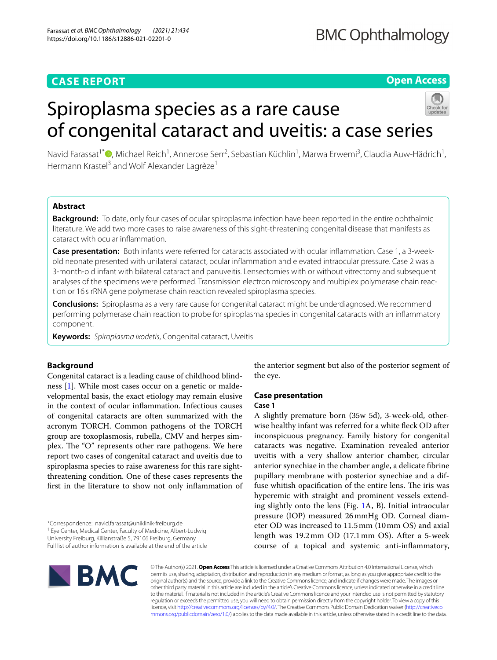# **CASE REPORT**

# **Open Access**

# Spiroplasma species as a rare cause of congenital cataract and uveitis: a case series



Navid Farassat<sup>1\*</sup>®[,](http://orcid.org/0000-0002-4409-2176) Michael Reich<sup>1</sup>, Annerose Serr<sup>2</sup>, Sebastian Küchlin<sup>1</sup>, Marwa Erwemi<sup>3</sup>, Claudia Auw-Hädrich<sup>1</sup>, Hermann Krastel<sup>3</sup> and Wolf Alexander Lagrèze<sup>1</sup>

# **Abstract**

**Background:** To date, only four cases of ocular spiroplasma infection have been reported in the entire ophthalmic literature. We add two more cases to raise awareness of this sight-threatening congenital disease that manifests as cataract with ocular infammation.

**Case presentation:** Both infants were referred for cataracts associated with ocular infammation. Case 1, a 3-weekold neonate presented with unilateral cataract, ocular infammation and elevated intraocular pressure. Case 2 was a 3-month-old infant with bilateral cataract and panuveitis. Lensectomies with or without vitrectomy and subsequent analyses of the specimens were performed. Transmission electron microscopy and multiplex polymerase chain reaction or 16 s rRNA gene polymerase chain reaction revealed spiroplasma species.

**Conclusions:** Spiroplasma as a very rare cause for congenital cataract might be underdiagnosed. We recommend performing polymerase chain reaction to probe for spiroplasma species in congenital cataracts with an infammatory component.

**Keywords:** *Spiroplasma ixodetis*, Congenital cataract, Uveitis

# **Background**

Congenital cataract is a leading cause of childhood blindness [\[1](#page-3-0)]. While most cases occur on a genetic or maldevelopmental basis, the exact etiology may remain elusive in the context of ocular infammation. Infectious causes of congenital cataracts are often summarized with the acronym TORCH. Common pathogens of the TORCH group are toxoplasmosis, rubella, CMV and herpes simplex. The " $O$ " represents other rare pathogens. We here report two cases of congenital cataract and uveitis due to spiroplasma species to raise awareness for this rare sightthreatening condition. One of these cases represents the frst in the literature to show not only infammation of

\*Correspondence: navid.farassat@uniklinik-freiburg.de

<sup>1</sup> Eye Center, Medical Center, Faculty of Medicine, Albert-Ludwig

University Freiburg, Killianstraße 5, 79106 Freiburg, Germany

Full list of author information is available at the end of the article



the anterior segment but also of the posterior segment of the eye.

# **Case presentation**

## **Case 1**

A slightly premature born (35w 5d), 3-week-old, otherwise healthy infant was referred for a white feck OD after inconspicuous pregnancy. Family history for congenital cataracts was negative. Examination revealed anterior uveitis with a very shallow anterior chamber, circular anterior synechiae in the chamber angle, a delicate fbrine pupillary membrane with posterior synechiae and a diffuse whitish opacification of the entire lens. The iris was hyperemic with straight and prominent vessels extending slightly onto the lens (Fig. [1A](#page-1-0), B). Initial intraocular pressure (IOP) measured 26mmHg OD. Corneal diameter OD was increased to 11.5mm (10mm OS) and axial length was 19.2mm OD (17.1mm OS). After a 5-week course of a topical and systemic anti-infammatory,

© The Author(s) 2021. **Open Access** This article is licensed under a Creative Commons Attribution 4.0 International License, which permits use, sharing, adaptation, distribution and reproduction in any medium or format, as long as you give appropriate credit to the original author(s) and the source, provide a link to the Creative Commons licence, and indicate if changes were made. The images or other third party material in this article are included in the article's Creative Commons licence, unless indicated otherwise in a credit line to the material. If material is not included in the article's Creative Commons licence and your intended use is not permitted by statutory regulation or exceeds the permitted use, you will need to obtain permission directly from the copyright holder. To view a copy of this licence, visit [http://creativecommons.org/licenses/by/4.0/.](http://creativecommons.org/licenses/by/4.0/) The Creative Commons Public Domain Dedication waiver ([http://creativeco](http://creativecommons.org/publicdomain/zero/1.0/) [mmons.org/publicdomain/zero/1.0/](http://creativecommons.org/publicdomain/zero/1.0/)) applies to the data made available in this article, unless otherwise stated in a credit line to the data.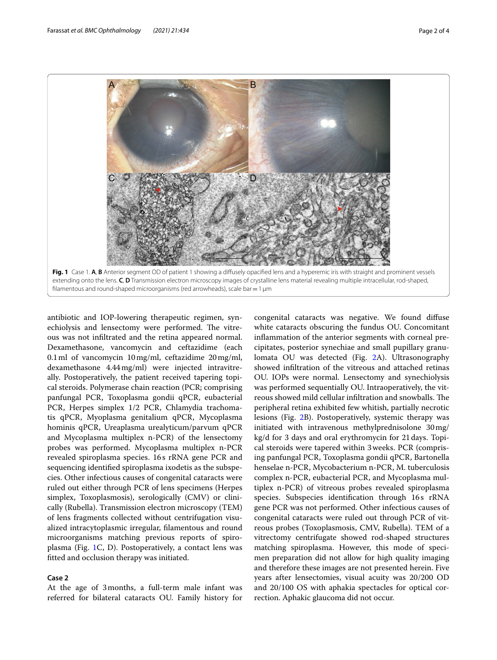

<span id="page-1-0"></span>extending onto the lens. **C**, **D** Transmission electron microscopy images of crystalline lens material revealing multiple intracellular, rod-shaped, filamentous and round-shaped microorganisms (red arrowheads), scale bar  $=1 \mu m$ 

antibiotic and IOP-lowering therapeutic regimen, synechiolysis and lensectomy were performed. The vitreous was not infltrated and the retina appeared normal. Dexamethasone, vancomycin and ceftazidime (each 0.1ml of vancomycin 10mg/ml, ceftazidime 20mg/ml, dexamethasone 4.44mg/ml) were injected intravitreally. Postoperatively, the patient received tapering topical steroids. Polymerase chain reaction (PCR; comprising panfungal PCR, Toxoplasma gondii qPCR, eubacterial PCR, Herpes simplex 1/2 PCR, Chlamydia trachomatis qPCR, Myoplasma genitalium qPCR, Mycoplasma hominis qPCR, Ureaplasma urealyticum/parvum qPCR and Mycoplasma multiplex n-PCR) of the lensectomy probes was performed. Mycoplasma multiplex n-PCR revealed spiroplasma species. 16s rRNA gene PCR and sequencing identifed spiroplasma ixodetis as the subspecies. Other infectious causes of congenital cataracts were ruled out either through PCR of lens specimens (Herpes simplex, Toxoplasmosis), serologically (CMV) or clinically (Rubella). Transmission electron microscopy (TEM) of lens fragments collected without centrifugation visualized intracytoplasmic irregular, flamentous and round microorganisms matching previous reports of spiroplasma (Fig. [1C](#page-1-0), D). Postoperatively, a contact lens was ftted and occlusion therapy was initiated.

#### **Case 2**

At the age of 3months, a full-term male infant was referred for bilateral cataracts OU. Family history for congenital cataracts was negative. We found difuse white cataracts obscuring the fundus OU. Concomitant infammation of the anterior segments with corneal precipitates, posterior synechiae and small pupillary granulomata OU was detected (Fig. [2](#page-2-0)A). Ultrasonography showed infltration of the vitreous and attached retinas OU. IOPs were normal. Lensectomy and synechiolysis was performed sequentially OU. Intraoperatively, the vitreous showed mild cellular infiltration and snowballs. The peripheral retina exhibited few whitish, partially necrotic lesions (Fig. [2](#page-2-0)B). Postoperatively, systemic therapy was initiated with intravenous methylprednisolone 30mg/ kg/d for 3 days and oral erythromycin for 21days. Topical steroids were tapered within 3weeks. PCR (comprising panfungal PCR, Toxoplasma gondii qPCR, Bartonella henselae n-PCR, Mycobacterium n-PCR, M. tuberculosis complex n-PCR, eubacterial PCR, and Mycoplasma multiplex n-PCR) of vitreous probes revealed spiroplasma species. Subspecies identifcation through 16s rRNA gene PCR was not performed. Other infectious causes of congenital cataracts were ruled out through PCR of vitreous probes (Toxoplasmosis, CMV, Rubella). TEM of a vitrectomy centrifugate showed rod-shaped structures matching spiroplasma. However, this mode of specimen preparation did not allow for high quality imaging and therefore these images are not presented herein. Five years after lensectomies, visual acuity was 20/200 OD and 20/100 OS with aphakia spectacles for optical correction. Aphakic glaucoma did not occur.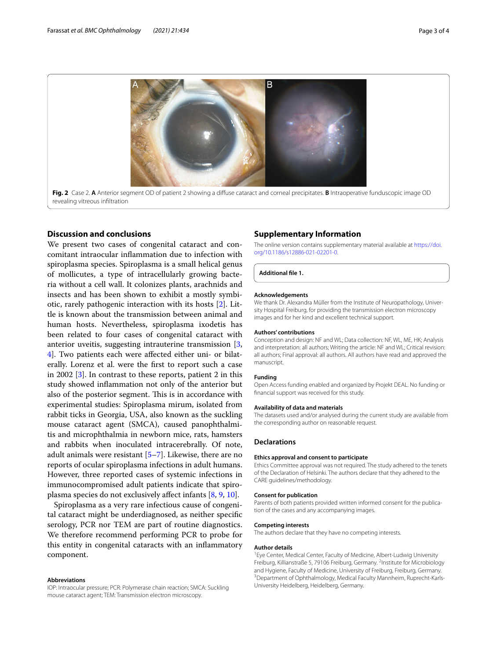

## <span id="page-2-0"></span>**Discussion and conclusions**

We present two cases of congenital cataract and concomitant intraocular infammation due to infection with spiroplasma species. Spiroplasma is a small helical genus of mollicutes, a type of intracellularly growing bacteria without a cell wall. It colonizes plants, arachnids and insects and has been shown to exhibit a mostly symbiotic, rarely pathogenic interaction with its hosts [\[2](#page-3-1)]. Little is known about the transmission between animal and human hosts. Nevertheless, spiroplasma ixodetis has been related to four cases of congenital cataract with anterior uveitis, suggesting intrauterine transmission [\[3](#page-3-2), [4\]](#page-3-3). Two patients each were afected either uni- or bilaterally. Lorenz et al. were the frst to report such a case in 2002 [\[3](#page-3-2)]. In contrast to these reports, patient 2 in this study showed infammation not only of the anterior but also of the posterior segment. This is in accordance with experimental studies: Spiroplasma mirum, isolated from rabbit ticks in Georgia, USA, also known as the suckling mouse cataract agent (SMCA), caused panophthalmitis and microphthalmia in newborn mice, rats, hamsters and rabbits when inoculated intracerebrally. Of note, adult animals were resistant  $[5-7]$  $[5-7]$ . Likewise, there are no reports of ocular spiroplasma infections in adult humans. However, three reported cases of systemic infections in immunocompromised adult patients indicate that spiroplasma species do not exclusively afect infants [[8,](#page-3-6) [9](#page-3-7), [10\]](#page-3-8).

Spiroplasma as a very rare infectious cause of congenital cataract might be underdiagnosed, as neither specifc serology, PCR nor TEM are part of routine diagnostics. We therefore recommend performing PCR to probe for this entity in congenital cataracts with an infammatory component.

#### **Abbreviations**

IOP: Intraocular pressure; PCR: Polymerase chain reaction; SMCA: Suckling mouse cataract agent; TEM: Transmission electron microscopy.

#### **Supplementary Information**

The online version contains supplementary material available at [https://doi.](https://doi.org/10.1186/s12886-021-02201-0) [org/10.1186/s12886-021-02201-0](https://doi.org/10.1186/s12886-021-02201-0).

**Additional fle 1.**

#### **Acknowledgements**

We thank Dr. Alexandra Müller from the Institute of Neuropathology, University Hospital Freiburg, for providing the transmission electron microscopy images and for her kind and excellent technical support.

#### **Authors' contributions**

Conception and design: NF and WL; Data collection: NF, WL, ME, HK; Analysis and interpretation: all authors; Writing the article: NF and WL; Critical revision: all authors; Final approval: all authors. All authors have read and approved the manuscript.

#### **Funding**

Open Access funding enabled and organized by Projekt DEAL. No funding or fnancial support was received for this study.

#### **Availability of data and materials**

The datasets used and/or analysed during the current study are available from the corresponding author on reasonable request.

#### **Declarations**

#### **Ethics approval and consent to participate**

Ethics Committee approval was not required. The study adhered to the tenets of the Declaration of Helsinki. The authors declare that they adhered to the CARE guidelines/methodology.

#### **Consent for publication**

Parents of both patients provided written informed consent for the publication of the cases and any accompanying images.

#### **Competing interests**

The authors declare that they have no competing interests.

#### **Author details**

<sup>1</sup> Eye Center, Medical Center, Faculty of Medicine, Albert-Ludwig University Freiburg, Killianstraße 5, 79106 Freiburg, Germany. <sup>2</sup>Institute for Microbiology and Hygiene, Faculty of Medicine, University of Freiburg, Freiburg, Germany. 3 <sup>3</sup> Department of Ophthalmology, Medical Faculty Mannheim, Ruprecht-Karls-University Heidelberg, Heidelberg, Germany.